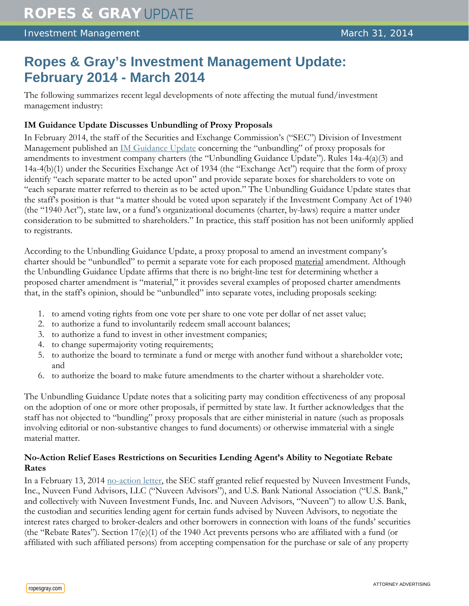# **Ropes & Gray's Investment Management Update: February 2014 - March 2014**

The following summarizes recent legal developments of note affecting the mutual fund/investment management industry:

# **IM Guidance Update Discusses Unbundling of Proxy Proposals**

In February 2014, the staff of the Securities and Exchange Commission's ("SEC") Division of Investment Management published an [IM Guidance Update](http://www.sec.gov/divisions/investment/guidance/im-guidance-2014-02.pdf) concerning the "unbundling" of proxy proposals for amendments to investment company charters (the "Unbundling Guidance Update"). Rules 14a-4(a)(3) and 14a-4(b)(1) under the Securities Exchange Act of 1934 (the "Exchange Act") require that the form of proxy identify "each separate matter to be acted upon" and provide separate boxes for shareholders to vote on "each separate matter referred to therein as to be acted upon." The Unbundling Guidance Update states that the staff's position is that "a matter should be voted upon separately if the Investment Company Act of 1940 (the "1940 Act"), state law, or a fund's organizational documents (charter, by-laws) require a matter under consideration to be submitted to shareholders." In practice, this staff position has not been uniformly applied to registrants.

According to the Unbundling Guidance Update, a proxy proposal to amend an investment company's charter should be "unbundled" to permit a separate vote for each proposed material amendment. Although the Unbundling Guidance Update affirms that there is no bright-line test for determining whether a proposed charter amendment is "material," it provides several examples of proposed charter amendments that, in the staff's opinion, should be "unbundled" into separate votes, including proposals seeking:

- 1. to amend voting rights from one vote per share to one vote per dollar of net asset value;
- 2. to authorize a fund to involuntarily redeem small account balances;
- 3. to authorize a fund to invest in other investment companies;
- 4. to change supermajority voting requirements;
- 5. to authorize the board to terminate a fund or merge with another fund without a shareholder vote; and
- 6. to authorize the board to make future amendments to the charter without a shareholder vote.

The Unbundling Guidance Update notes that a soliciting party may condition effectiveness of any proposal on the adoption of one or more other proposals, if permitted by state law. It further acknowledges that the staff has not objected to "bundling" proxy proposals that are either ministerial in nature (such as proposals involving editorial or non-substantive changes to fund documents) or otherwise immaterial with a single material matter.

# **No-Action Relief Eases Restrictions on Securities Lending Agent's Ability to Negotiate Rebate Rates**

In a February 13, 2014 [no-action letter,](http://www.sec.gov/divisions/investment/noaction/2014/nuveen-invest-funds-02132014.htm) the SEC staff granted relief requested by Nuveen Investment Funds, Inc., Nuveen Fund Advisors, LLC ("Nuveen Advisors"), and U.S. Bank National Association ("U.S. Bank," and collectively with Nuveen Investment Funds, Inc. and Nuveen Advisors, "Nuveen") to allow U.S. Bank, the custodian and securities lending agent for certain funds advised by Nuveen Advisors, to negotiate the interest rates charged to broker-dealers and other borrowers in connection with loans of the funds' securities (the "Rebate Rates"). Section 17(e)(1) of the 1940 Act prevents persons who are affiliated with a fund (or affiliated with such affiliated persons) from accepting compensation for the purchase or sale of any property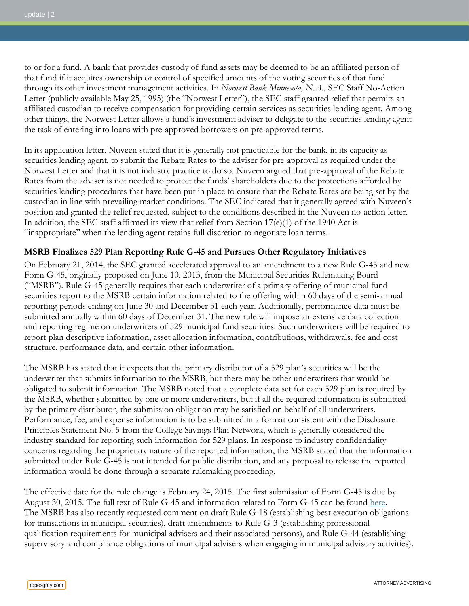to or for a fund. A bank that provides custody of fund assets may be deemed to be an affiliated person of that fund if it acquires ownership or control of specified amounts of the voting securities of that fund through its other investment management activities. In *Norwest Bank Minnesota, N.A.*, SEC Staff No-Action Letter (publicly available May 25, 1995) (the "Norwest Letter"), the SEC staff granted relief that permits an affiliated custodian to receive compensation for providing certain services as securities lending agent. Among other things, the Norwest Letter allows a fund's investment adviser to delegate to the securities lending agent the task of entering into loans with pre-approved borrowers on pre-approved terms.

In its application letter, Nuveen stated that it is generally not practicable for the bank, in its capacity as securities lending agent, to submit the Rebate Rates to the adviser for pre-approval as required under the Norwest Letter and that it is not industry practice to do so. Nuveen argued that pre-approval of the Rebate Rates from the adviser is not needed to protect the funds' shareholders due to the protections afforded by securities lending procedures that have been put in place to ensure that the Rebate Rates are being set by the custodian in line with prevailing market conditions. The SEC indicated that it generally agreed with Nuveen's position and granted the relief requested, subject to the conditions described in the Nuveen no-action letter. In addition, the SEC staff affirmed its view that relief from Section  $17(e)(1)$  of the 1940 Act is "inappropriate" when the lending agent retains full discretion to negotiate loan terms.

#### **MSRB Finalizes 529 Plan Reporting Rule G-45 and Pursues Other Regulatory Initiatives**

On February 21, 2014, the SEC granted accelerated approval to an amendment to a new Rule G-45 and new Form G-45, originally proposed on June 10, 2013, from the Municipal Securities Rulemaking Board ("MSRB"). Rule G-45 generally requires that each underwriter of a primary offering of municipal fund securities report to the MSRB certain information related to the offering within 60 days of the semi-annual reporting periods ending on June 30 and December 31 each year. Additionally, performance data must be submitted annually within 60 days of December 31. The new rule will impose an extensive data collection and reporting regime on underwriters of 529 municipal fund securities. Such underwriters will be required to report plan descriptive information, asset allocation information, contributions, withdrawals, fee and cost structure, performance data, and certain other information.

The MSRB has stated that it expects that the primary distributor of a 529 plan's securities will be the underwriter that submits information to the MSRB, but there may be other underwriters that would be obligated to submit information. The MSRB noted that a complete data set for each 529 plan is required by the MSRB, whether submitted by one or more underwriters, but if all the required information is submitted by the primary distributor, the submission obligation may be satisfied on behalf of all underwriters. Performance, fee, and expense information is to be submitted in a format consistent with the Disclosure Principles Statement No. 5 from the College Savings Plan Network, which is generally considered the industry standard for reporting such information for 529 plans. In response to industry confidentiality concerns regarding the proprietary nature of the reported information, the MSRB stated that the information submitted under Rule G-45 is not intended for public distribution, and any proposal to release the reported information would be done through a separate rulemaking proceeding.

The effective date for the rule change is February 24, 2015. The first submission of Form G-45 is due by August 30, 2015. The full text of Rule G-45 and information related to Form G-45 can be found [here.](http://www.msrb.org/Rules-and-Interpretations/SEC-Filings/~/media/Files/SEC-Filings/2013/MSRB-2013-04-Amendment-1.ashx) The MSRB has also recently requested comment on draft Rule G-18 (establishing best execution obligations for transactions in municipal securities), draft amendments to Rule G-3 (establishing professional qualification requirements for municipal advisers and their associated persons), and Rule G-44 (establishing supervisory and compliance obligations of municipal advisers when engaging in municipal advisory activities).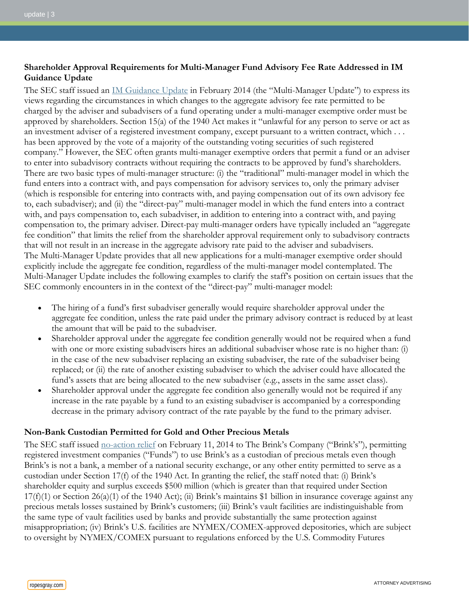# **Shareholder Approval Requirements for Multi-Manager Fund Advisory Fee Rate Addressed in IM Guidance Update**

The SEC staff issued an [IM Guidance Update](https://www.sec.gov/divisions/investment/guidance/im-guidance-2014-03.pdf) in February 2014 (the "Multi-Manager Update") to express its views regarding the circumstances in which changes to the aggregate advisory fee rate permitted to be charged by the adviser and subadvisers of a fund operating under a multi-manager exemptive order must be approved by shareholders. Section 15(a) of the 1940 Act makes it "unlawful for any person to serve or act as an investment adviser of a registered investment company, except pursuant to a written contract, which . . . has been approved by the vote of a majority of the outstanding voting securities of such registered company." However, the SEC often grants multi-manager exemptive orders that permit a fund or an adviser to enter into subadvisory contracts without requiring the contracts to be approved by fund's shareholders. There are two basic types of multi-manager structure: (i) the "traditional" multi-manager model in which the fund enters into a contract with, and pays compensation for advisory services to, only the primary adviser (which is responsible for entering into contracts with, and paying compensation out of its own advisory fee to, each subadviser); and (ii) the "direct-pay" multi-manager model in which the fund enters into a contract with, and pays compensation to, each subadviser, in addition to entering into a contract with, and paying compensation to, the primary adviser. Direct-pay multi-manager orders have typically included an "aggregate fee condition" that limits the relief from the shareholder approval requirement only to subadvisory contracts that will not result in an increase in the aggregate advisory rate paid to the adviser and subadvisers. The Multi-Manager Update provides that all new applications for a multi-manager exemptive order should explicitly include the aggregate fee condition, regardless of the multi-manager model contemplated. The Multi-Manager Update includes the following examples to clarify the staff's position on certain issues that the SEC commonly encounters in in the context of the "direct-pay" multi-manager model:

- The hiring of a fund's first subadviser generally would require shareholder approval under the aggregate fee condition, unless the rate paid under the primary advisory contract is reduced by at least the amount that will be paid to the subadviser.
- Shareholder approval under the aggregate fee condition generally would not be required when a fund with one or more existing subadvisers hires an additional subadviser whose rate is no higher than: (i) in the case of the new subadviser replacing an existing subadviser, the rate of the subadviser being replaced; or (ii) the rate of another existing subadviser to which the adviser could have allocated the fund's assets that are being allocated to the new subadviser (e.g., assets in the same asset class).
- Shareholder approval under the aggregate fee condition also generally would not be required if any increase in the rate payable by a fund to an existing subadviser is accompanied by a corresponding decrease in the primary advisory contract of the rate payable by the fund to the primary adviser.

## **Non-Bank Custodian Permitted for Gold and Other Precious Metals**

The SEC staff issued <u>[no-action relief](http://www.sec.gov/divisions/investment/noaction/2014/brinks-021114-17f1.htm)</u> on February 11, 2014 to The Brink's Company ("Brink's"), permitting registered investment companies ("Funds") to use Brink's as a custodian of precious metals even though Brink's is not a bank, a member of a national security exchange, or any other entity permitted to serve as a custodian under Section 17(f) of the 1940 Act. In granting the relief, the staff noted that: (i) Brink's shareholder equity and surplus exceeds \$500 million (which is greater than that required under Section  $17(f)(1)$  or Section  $26(a)(1)$  of the 1940 Act); (ii) Brink's maintains \$1 billion in insurance coverage against any precious metals losses sustained by Brink's customers; (iii) Brink's vault facilities are indistinguishable from the same type of vault facilities used by banks and provide substantially the same protection against misappropriation; (iv) Brink's U.S. facilities are NYMEX/COMEX-approved depositories, which are subject to oversight by NYMEX/COMEX pursuant to regulations enforced by the U.S. Commodity Futures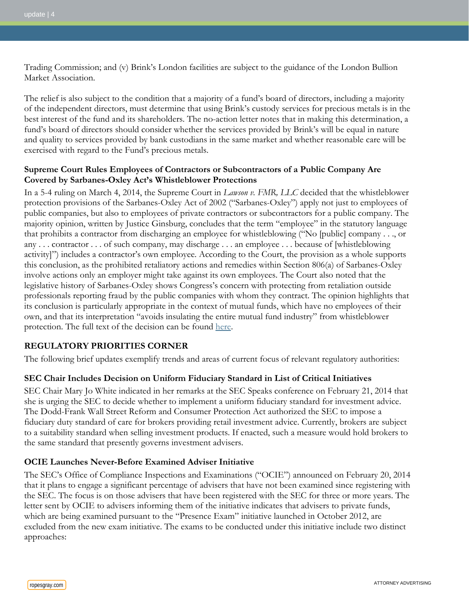Trading Commission; and (v) Brink's London facilities are subject to the guidance of the London Bullion Market Association.

The relief is also subject to the condition that a majority of a fund's board of directors, including a majority of the independent directors, must determine that using Brink's custody services for precious metals is in the best interest of the fund and its shareholders. The no-action letter notes that in making this determination, a fund's board of directors should consider whether the services provided by Brink's will be equal in nature and quality to services provided by bank custodians in the same market and whether reasonable care will be exercised with regard to the Fund's precious metals.

#### **Supreme Court Rules Employees of Contractors or Subcontractors of a Public Company Are Covered by Sarbanes-Oxley Act's Whistleblower Protections**

In a 5-4 ruling on March 4, 2014, the Supreme Court in *Lawson v. FMR, LLC* decided that the whistleblower protection provisions of the Sarbanes-Oxley Act of 2002 ("Sarbanes-Oxley") apply not just to employees of public companies, but also to employees of private contractors or subcontractors for a public company. The majority opinion, written by Justice Ginsburg, concludes that the term "employee" in the statutory language that prohibits a contractor from discharging an employee for whistleblowing ("No [public] company . . ., or any . . . contractor . . . of such company, may discharge . . . an employee . . . because of [whistleblowing activity]") includes a contractor's own employee. According to the Court, the provision as a whole supports this conclusion, as the prohibited retaliatory actions and remedies within Section 806(a) of Sarbanes-Oxley involve actions only an employer might take against its own employees. The Court also noted that the legislative history of Sarbanes-Oxley shows Congress's concern with protecting from retaliation outside professionals reporting fraud by the public companies with whom they contract. The opinion highlights that its conclusion is particularly appropriate in the context of mutual funds, which have no employees of their own, and that its interpretation "avoids insulating the entire mutual fund industry" from whistleblower protection. The full text of the decision can be found [here.](http://www.supremecourt.gov/opinions/13pdf/12-3_4f57.pdf)

## **REGULATORY PRIORITIES CORNER**

The following brief updates exemplify trends and areas of current focus of relevant regulatory authorities:

## **SEC Chair Includes Decision on Uniform Fiduciary Standard in List of Critical Initiatives**

SEC Chair Mary Jo White indicated in her remarks at the SEC Speaks conference on February 21, 2014 that she is urging the SEC to decide whether to implement a uniform fiduciary standard for investment advice. The Dodd-Frank Wall Street Reform and Consumer Protection Act authorized the SEC to impose a fiduciary duty standard of care for brokers providing retail investment advice. Currently, brokers are subject to a suitability standard when selling investment products. If enacted, such a measure would hold brokers to the same standard that presently governs investment advisers.

## **OCIE Launches Never-Before Examined Adviser Initiative**

The SEC's Office of Compliance Inspections and Examinations ("OCIE") announced on February 20, 2014 that it plans to engage a significant percentage of advisers that have not been examined since registering with the SEC. The focus is on those advisers that have been registered with the SEC for three or more years. The letter sent by OCIE to advisers informing them of the initiative indicates that advisers to private funds, which are being examined pursuant to the "Presence Exam" initiative launched in October 2012, are excluded from the new exam initiative. The exams to be conducted under this initiative include two distinct approaches: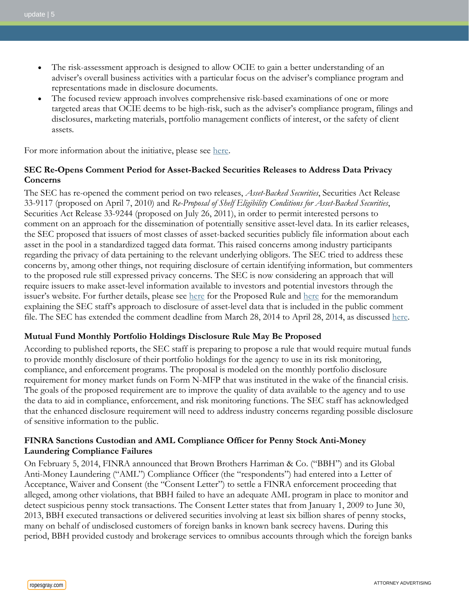- The risk-assessment approach is designed to allow OCIE to gain a better understanding of an adviser's overall business activities with a particular focus on the adviser's compliance program and representations made in disclosure documents.
- The focused review approach involves comprehensive risk-based examinations of one or more targeted areas that OCIE deems to be high-risk, such as the adviser's compliance program, filings and disclosures, marketing materials, portfolio management conflicts of interest, or the safety of client assets.

For more information about the initiative, please see [here.](http://www.sec.gov/about/offices/ocie/nbe-final-letter-022014.pdf)

## **SEC Re-Opens Comment Period for Asset-Backed Securities Releases to Address Data Privacy Concerns**

The SEC has re-opened the comment period on two releases, *Asset-Backed Securities*, Securities Act Release 33-9117 (proposed on April 7, 2010) and *Re-Proposal of Shelf Eligibility Conditions for Asset-Backed Securities*, Securities Act Release 33-9244 (proposed on July 26, 2011), in order to permit interested persons to comment on an approach for the dissemination of potentially sensitive asset-level data. In its earlier releases, the SEC proposed that issuers of most classes of asset-backed securities publicly file information about each asset in the pool in a standardized tagged data format. This raised concerns among industry participants regarding the privacy of data pertaining to the relevant underlying obligors. The SEC tried to address these concerns by, among other things, not requiring disclosure of certain identifying information, but commenters to the proposed rule still expressed privacy concerns. The SEC is now considering an approach that will require issuers to make asset-level information available to investors and potential investors through the issuer's website. For further details, please see [here](http://www.sec.gov/comments/s7-08-10/s70810-258.pdf) for the Proposed Rule and here for the memorandum explaining the SEC staff's approach to disclosure of asset-level data that is included in the public comment file. The SEC has extended the comment deadline from March 28, 2014 to April 28, 2014, as discussed [here.](http://www.sec.gov/rules/proposed/2014/33-9568.pdf)

## **Mutual Fund Monthly Portfolio Holdings Disclosure Rule May Be Proposed**

According to published reports, the SEC staff is preparing to propose a rule that would require mutual funds to provide monthly disclosure of their portfolio holdings for the agency to use in its risk monitoring, compliance, and enforcement programs. The proposal is modeled on the monthly portfolio disclosure requirement for money market funds on Form N-MFP that was instituted in the wake of the financial crisis. The goals of the proposed requirement are to improve the quality of data available to the agency and to use the data to aid in compliance, enforcement, and risk monitoring functions. The SEC staff has acknowledged that the enhanced disclosure requirement will need to address industry concerns regarding possible disclosure of sensitive information to the public.

## **FINRA Sanctions Custodian and AML Compliance Officer for Penny Stock Anti-Money Laundering Compliance Failures**

On February 5, 2014, FINRA announced that Brown Brothers Harriman & Co. ("BBH") and its Global Anti-Money Laundering ("AML") Compliance Officer (the "respondents") had entered into a Letter of Acceptance, Waiver and Consent (the "Consent Letter") to settle a FINRA enforcement proceeding that alleged, among other violations, that BBH failed to have an adequate AML program in place to monitor and detect suspicious penny stock transactions. The Consent Letter states that from January 1, 2009 to June 30, 2013, BBH executed transactions or delivered securities involving at least six billion shares of penny stocks, many on behalf of undisclosed customers of foreign banks in known bank secrecy havens. During this period, BBH provided custody and brokerage services to omnibus accounts through which the foreign banks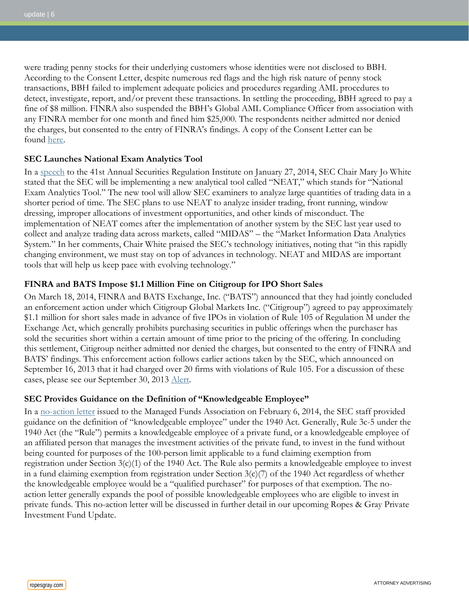were trading penny stocks for their underlying customers whose identities were not disclosed to BBH. According to the Consent Letter, despite numerous red flags and the high risk nature of penny stock transactions, BBH failed to implement adequate policies and procedures regarding AML procedures to detect, investigate, report, and/or prevent these transactions. In settling the proceeding, BBH agreed to pay a fine of \$8 million. FINRA also suspended the BBH's Global AML Compliance Officer from association with any FINRA member for one month and fined him \$25,000. The respondents neither admitted nor denied the charges, but consented to the entry of FINRA's findings. A copy of the Consent Letter can be found [here.](http://www.finra.org/web/groups/industry/@ip/@enf/@ad/documents/industry/p443448.pdf)

#### **SEC Launches National Exam Analytics Tool**

In a [speech](http://www.sec.gov/News/Speech/Detail/Speech/1370540677500#.Uua0R7ROm1s) to the 41st Annual Securities Regulation Institute on January 27, 2014, SEC Chair Mary Jo White stated that the SEC will be implementing a new analytical tool called "NEAT," which stands for "National Exam Analytics Tool." The new tool will allow SEC examiners to analyze large quantities of trading data in a shorter period of time. The SEC plans to use NEAT to analyze insider trading, front running, window dressing, improper allocations of investment opportunities, and other kinds of misconduct. The implementation of NEAT comes after the implementation of another system by the SEC last year used to collect and analyze trading data across markets, called "MIDAS" – the "Market Information Data Analytics System." In her comments, Chair White praised the SEC's technology initiatives, noting that "in this rapidly changing environment, we must stay on top of advances in technology. NEAT and MIDAS are important tools that will help us keep pace with evolving technology."

#### **FINRA and BATS Impose \$1.1 Million Fine on Citigroup for IPO Short Sales**

On March 18, 2014, FINRA and BATS Exchange, Inc. ("BATS") announced that they had jointly concluded an enforcement action under which Citigroup Global Markets Inc. ("Citigroup") agreed to pay approximately \$1.1 million for short sales made in advance of five IPOs in violation of Rule 105 of Regulation M under the Exchange Act, which generally prohibits purchasing securities in public offerings when the purchaser has sold the securities short within a certain amount of time prior to the pricing of the offering. In concluding this settlement, Citigroup neither admitted nor denied the charges, but consented to the entry of FINRA and BATS' findings. This enforcement action follows earlier actions taken by the SEC, which announced on September 16, 2013 that it had charged over 20 firms with violations of Rule 105. For a discussion of these cases, please see our September 30, 2013 [Alert.](http://www.ropesgray.com/news-and-insights/Insights/2013/09/Recent-SEC-Enforcement-Actions-Suggest-Continued-Attention-to-Rule-105-of-Regulation-M.aspx)

#### **SEC Provides Guidance on the Definition of "Knowledgeable Employee"**

In a [no-action letter](http://www.sec.gov/divisions/investment/noaction/2014/managed-funds-association-020614.htm) issued to the Managed Funds Association on February 6, 2014, the SEC staff provided guidance on the definition of "knowledgeable employee" under the 1940 Act. Generally, Rule 3c-5 under the 1940 Act (the "Rule") permits a knowledgeable employee of a private fund, or a knowledgeable employee of an affiliated person that manages the investment activities of the private fund, to invest in the fund without being counted for purposes of the 100-person limit applicable to a fund claiming exemption from registration under Section 3(c)(1) of the 1940 Act. The Rule also permits a knowledgeable employee to invest in a fund claiming exemption from registration under Section  $3(c)/7$  of the 1940 Act regardless of whether the knowledgeable employee would be a "qualified purchaser" for purposes of that exemption. The noaction letter generally expands the pool of possible knowledgeable employees who are eligible to invest in private funds. This no-action letter will be discussed in further detail in our upcoming Ropes & Gray Private Investment Fund Update.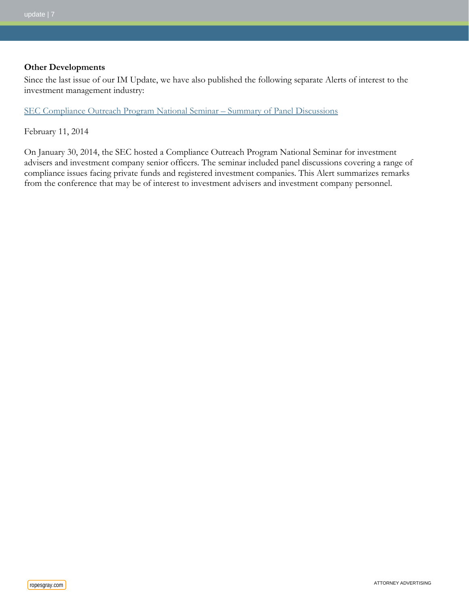#### **Other Developments**

Since the last issue of our IM Update, we have also published the following separate Alerts of interest to the investment management industry:

[SEC Compliance Outreach Program National Seminar –](http://www.ropesgray.com/news-and-insights/Insights/2014/February/SEC-Compliance-Outreach-Program-National-Seminar-Summary-of-Panel-Discussions.aspx) Summary of Panel Discussions

February 11, 2014

On January 30, 2014, the SEC hosted a Compliance Outreach Program National Seminar for investment advisers and investment company senior officers. The seminar included panel discussions covering a range of compliance issues facing private funds and registered investment companies. This Alert summarizes remarks from the conference that may be of interest to investment advisers and investment company personnel.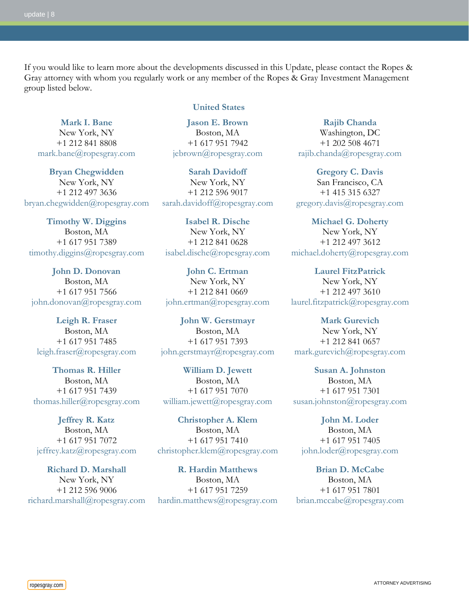If you would like to learn more about the developments discussed in this Update, please contact the Ropes & Gray attorney with whom you regularly work or any member of the Ropes & Gray Investment Management group listed below.

**[Mark I. Bane](http://www.ropesgray.com/markbane/)** New York, NY +1 212 841 8808 [mark.bane@ropesgray.com](mailto:mark.bane@ropesgray.com)

**[Bryan Chegwidden](http://www.ropesgray.com/bryanchegwidden/)** New York, NY +1 212 497 3636 [bryan.chegwidden@ropesgray.com](mailto:bryan.chegwidden@ropesgray.com)

**[Timothy W. Diggins](http://www.ropesgray.com/timothydiggins/)** Boston, MA +1 617 951 7389 [timothy.diggins@ropesgray.com](mailto:timothy.diggins@ropesgray.com)

**[John D. Donovan](http://www.ropesgray.com/johndonovan/)** Boston, MA +1 617 951 7566 [john.donovan@ropesgray.com](mailto:john.donovan@ropesgray.com)

**[Leigh R. Fraser](http://www.ropesgray.com/leighfraser/)** Boston, MA +1 617 951 7485 [leigh.fraser@ropesgray.com](mailto:leigh.fraser@ropesgray.com)

**[Thomas R. Hiller](http://www.ropesgray.com/thomashiller/)** Boston, MA +1 617 951 7439 [thomas.hiller@ropesgray.com](mailto:thomas.hiller@ropesgray.com)

**[Jeffrey R. Katz](http://www.ropesgray.com/jeffreykatz/)** Boston, MA +1 617 951 7072 [jeffrey.katz@ropesgray.com](mailto:jeffrey.katz@ropesgray.com)

**[Richard D. Marshall](http://www.ropesgray.com/richardmarshall/)** New York, NY +1 212 596 9006 [richard.marshall@ropesgray.com](mailto:richard.marshall@ropesgray.com)

#### **United States**

**[Jason E. Brown](http://www.ropesgray.com/jebrown/)** Boston, MA +1 617 951 7942 [jebrown@ropesgray.com](mailto:jebrown@ropesgray.com)

**[Sarah Davidoff](http://www.ropesgray.com/sarahdavidoff/)** New York, NY +1 212 596 9017 [sarah.davidoff@ropesgray.com](mailto:sarah.davidoff@ropesgray.com)

**[Isabel R. Dische](http://www.ropesgray.com/biographies/d/isabel-kr-dische.aspx)** New York, NY +1 212 841 0628 [isabel.dische@ropesgray.com](mailto:isabel.dische@ropesgray.com)

**[John C. Ertman](http://www.ropesgray.com/johnertman/)** New York, NY +1 212 841 0669 [john.ertman@ropesgray.com](mailto:john.ertman@ropesgray.com)

**[John W. Gerstmayr](http://www.ropesgray.com/johngerstmayr/)** Boston, MA +1 617 951 7393 [john.gerstmayr@ropesgray.com](mailto:john.gerstmayr@ropesgray.com)

**[William D. Jewett](http://www.ropesgray.com/williamjewett/)** Boston, MA +1 617 951 7070 [william.jewett@ropesgray.com](mailto:william.jewett@ropesgray.com)

**[Christopher A. Klem](http://www.ropesgray.com/christopherklem/)** Boston, MA +1 617 951 7410 [christopher.klem@ropesgray.com](mailto:christopher.klem@ropesgray.com)

**[R. Hardin Matthews](http://www.ropesgray.com/hardinmatthews/)** Boston, MA +1 617 951 7259 [hardin.matthews@ropesgray.com](mailto:hardin.matthews@ropesgray.com)

**[Rajib Chanda](http://www.ropesgray.com/rajibchanda/)** Washington, DC +1 202 508 4671 [rajib.chanda@ropesgray.com](mailto:rajib.chanda@ropesgray.com)

**[Gregory C. Davis](http://www.ropesgray.com/gregorydavis/)** San Francisco, CA +1 415 315 6327 [gregory.davis@ropesgray.com](mailto:gregory.davis@ropesgray.com)

**[Michael G. Doherty](http://www.ropesgray.com/michaeldoherty/)** New York, NY +1 212 497 3612 [michael.doherty@ropesgray.com](mailto:michael.doherty@ropesgray.com)

**[Laurel FitzPatrick](http://www.ropesgray.com/laurelfitzpatrick/)** New York, NY +1 212 497 3610 [laurel.fitzpatrick@ropesgray.com](mailto:laurel.fitzpatrick@ropesgray.com)

**[Mark Gurevich](http://www.ropesgray.com/biographies/g/mark-gurevich.aspx)** New York, NY +1 212 841 0657 [mark.gurevich@ropesgray.com](mailto:mark.gurevich@ropesgray.com)

**[Susan A. Johnston](http://www.ropesgray.com/susanjohnston/)** Boston, MA +1 617 951 7301 [susan.johnston@ropesgray.com](mailto:susan.johnston@ropesgray.com)

**[John M. Loder](http://www.ropesgray.com/johnloder/)** Boston, MA +1 617 951 7405 [john.loder@ropesgray.com](mailto:john.loder@ropesgray.com)

**[Brian D. McCabe](http://www.ropesgray.com/brianmccabe/)** Boston, MA +1 617 951 7801 [brian.mccabe@ropesgray.com](mailto:brian.mccabe@ropesgray.com)